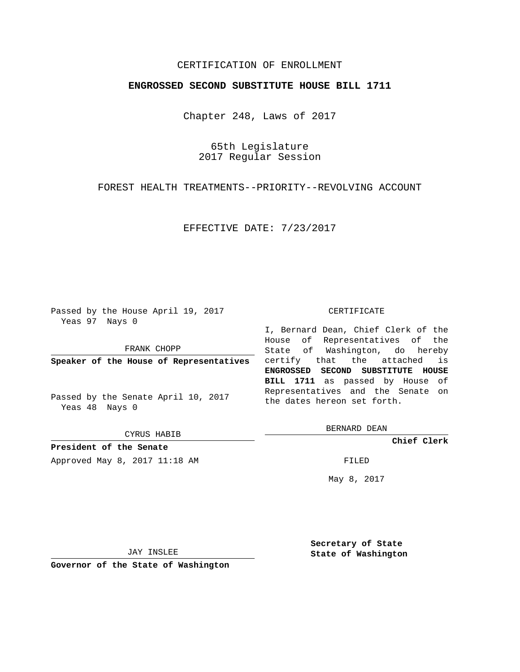# CERTIFICATION OF ENROLLMENT

### **ENGROSSED SECOND SUBSTITUTE HOUSE BILL 1711**

Chapter 248, Laws of 2017

65th Legislature 2017 Regular Session

FOREST HEALTH TREATMENTS--PRIORITY--REVOLVING ACCOUNT

EFFECTIVE DATE: 7/23/2017

Passed by the House April 19, 2017 Yeas 97 Nays 0

FRANK CHOPP

Passed by the Senate April 10, 2017 Yeas 48 Nays 0

CYRUS HABIB

**President of the Senate**

Approved May 8, 2017 11:18 AM FILED

#### CERTIFICATE

**Speaker of the House of Representatives** certify that the attached is I, Bernard Dean, Chief Clerk of the House of Representatives of the State of Washington, do hereby **ENGROSSED SECOND SUBSTITUTE HOUSE BILL 1711** as passed by House of Representatives and the Senate on the dates hereon set forth.

BERNARD DEAN

**Chief Clerk**

May 8, 2017

JAY INSLEE

**Governor of the State of Washington**

**Secretary of State State of Washington**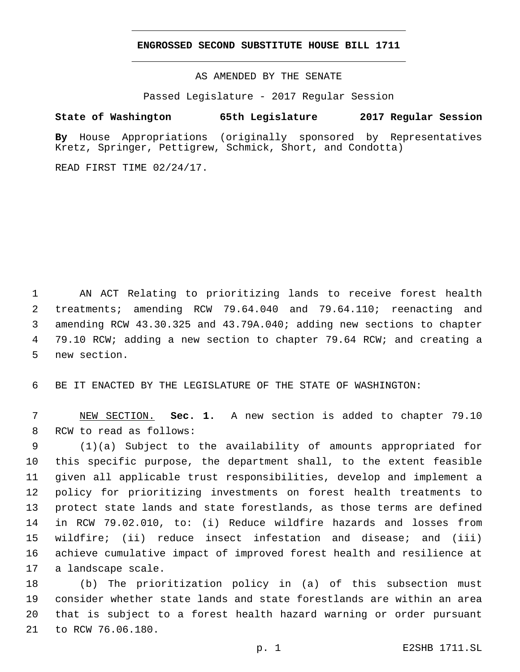### **ENGROSSED SECOND SUBSTITUTE HOUSE BILL 1711**

AS AMENDED BY THE SENATE

Passed Legislature - 2017 Regular Session

# **State of Washington 65th Legislature 2017 Regular Session**

**By** House Appropriations (originally sponsored by Representatives Kretz, Springer, Pettigrew, Schmick, Short, and Condotta)

READ FIRST TIME 02/24/17.

 AN ACT Relating to prioritizing lands to receive forest health treatments; amending RCW 79.64.040 and 79.64.110; reenacting and amending RCW 43.30.325 and 43.79A.040; adding new sections to chapter 79.10 RCW; adding a new section to chapter 79.64 RCW; and creating a 5 new section.

6 BE IT ENACTED BY THE LEGISLATURE OF THE STATE OF WASHINGTON:

7 NEW SECTION. **Sec. 1.** A new section is added to chapter 79.10 8 RCW to read as follows:

 (1)(a) Subject to the availability of amounts appropriated for this specific purpose, the department shall, to the extent feasible given all applicable trust responsibilities, develop and implement a policy for prioritizing investments on forest health treatments to protect state lands and state forestlands, as those terms are defined in RCW 79.02.010, to: (i) Reduce wildfire hazards and losses from wildfire; (ii) reduce insect infestation and disease; and (iii) achieve cumulative impact of improved forest health and resilience at 17 a landscape scale.

 (b) The prioritization policy in (a) of this subsection must consider whether state lands and state forestlands are within an area that is subject to a forest health hazard warning or order pursuant 21 to RCW 76.06.180.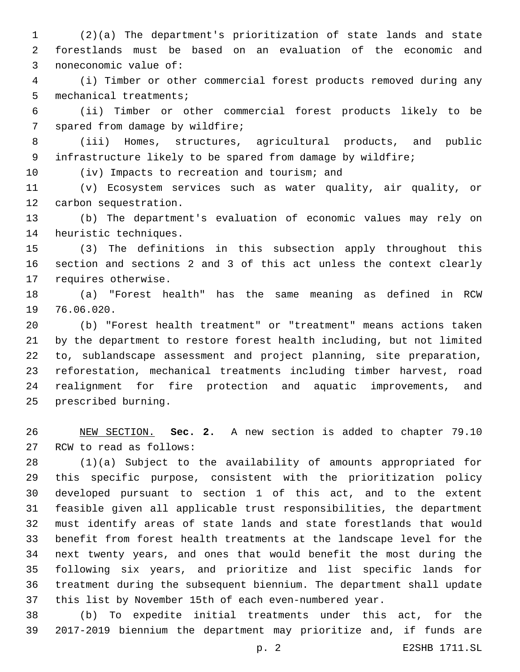(2)(a) The department's prioritization of state lands and state forestlands must be based on an evaluation of the economic and 3 noneconomic value of:

 (i) Timber or other commercial forest products removed during any 5 mechanical treatments;

 (ii) Timber or other commercial forest products likely to be 7 spared from damage by wildfire;

 (iii) Homes, structures, agricultural products, and public infrastructure likely to be spared from damage by wildfire;

10 (iv) Impacts to recreation and tourism; and

 (v) Ecosystem services such as water quality, air quality, or 12 carbon sequestration.

 (b) The department's evaluation of economic values may rely on 14 heuristic techniques.

 (3) The definitions in this subsection apply throughout this section and sections 2 and 3 of this act unless the context clearly 17 requires otherwise.

 (a) "Forest health" has the same meaning as defined in RCW 19 76.06.020.

 (b) "Forest health treatment" or "treatment" means actions taken by the department to restore forest health including, but not limited to, sublandscape assessment and project planning, site preparation, reforestation, mechanical treatments including timber harvest, road realignment for fire protection and aquatic improvements, and 25 prescribed burning.

 NEW SECTION. **Sec. 2.** A new section is added to chapter 79.10 27 RCW to read as follows:

 (1)(a) Subject to the availability of amounts appropriated for this specific purpose, consistent with the prioritization policy developed pursuant to section 1 of this act, and to the extent feasible given all applicable trust responsibilities, the department must identify areas of state lands and state forestlands that would benefit from forest health treatments at the landscape level for the next twenty years, and ones that would benefit the most during the following six years, and prioritize and list specific lands for treatment during the subsequent biennium. The department shall update this list by November 15th of each even-numbered year.

 (b) To expedite initial treatments under this act, for the 2017-2019 biennium the department may prioritize and, if funds are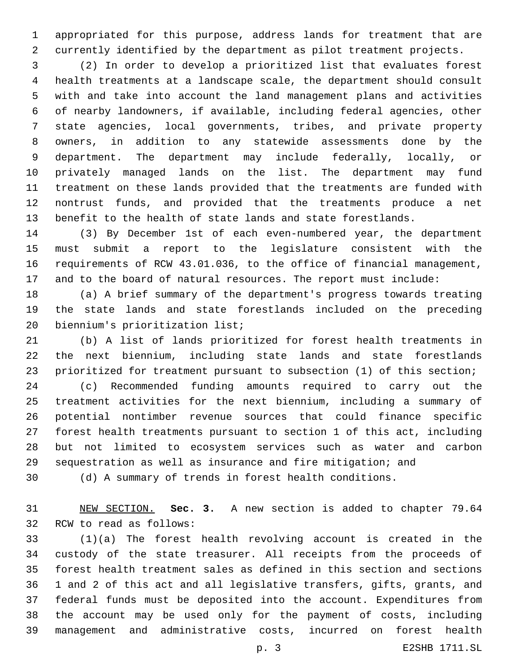appropriated for this purpose, address lands for treatment that are currently identified by the department as pilot treatment projects.

 (2) In order to develop a prioritized list that evaluates forest health treatments at a landscape scale, the department should consult with and take into account the land management plans and activities of nearby landowners, if available, including federal agencies, other state agencies, local governments, tribes, and private property owners, in addition to any statewide assessments done by the department. The department may include federally, locally, or privately managed lands on the list. The department may fund treatment on these lands provided that the treatments are funded with nontrust funds, and provided that the treatments produce a net benefit to the health of state lands and state forestlands.

 (3) By December 1st of each even-numbered year, the department must submit a report to the legislature consistent with the requirements of RCW 43.01.036, to the office of financial management, and to the board of natural resources. The report must include:

 (a) A brief summary of the department's progress towards treating the state lands and state forestlands included on the preceding 20 biennium's prioritization list;

 (b) A list of lands prioritized for forest health treatments in the next biennium, including state lands and state forestlands prioritized for treatment pursuant to subsection (1) of this section;

 (c) Recommended funding amounts required to carry out the treatment activities for the next biennium, including a summary of potential nontimber revenue sources that could finance specific forest health treatments pursuant to section 1 of this act, including but not limited to ecosystem services such as water and carbon sequestration as well as insurance and fire mitigation; and

(d) A summary of trends in forest health conditions.

 NEW SECTION. **Sec. 3.** A new section is added to chapter 79.64 32 RCW to read as follows:

 (1)(a) The forest health revolving account is created in the custody of the state treasurer. All receipts from the proceeds of forest health treatment sales as defined in this section and sections 1 and 2 of this act and all legislative transfers, gifts, grants, and federal funds must be deposited into the account. Expenditures from the account may be used only for the payment of costs, including management and administrative costs, incurred on forest health

p. 3 E2SHB 1711.SL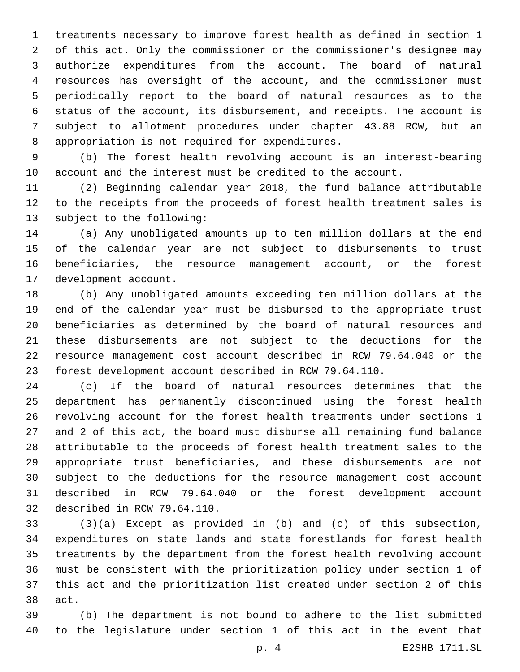treatments necessary to improve forest health as defined in section 1 of this act. Only the commissioner or the commissioner's designee may authorize expenditures from the account. The board of natural resources has oversight of the account, and the commissioner must periodically report to the board of natural resources as to the status of the account, its disbursement, and receipts. The account is subject to allotment procedures under chapter 43.88 RCW, but an 8 appropriation is not required for expenditures.

 (b) The forest health revolving account is an interest-bearing account and the interest must be credited to the account.

 (2) Beginning calendar year 2018, the fund balance attributable to the receipts from the proceeds of forest health treatment sales is 13 subject to the following:

 (a) Any unobligated amounts up to ten million dollars at the end of the calendar year are not subject to disbursements to trust beneficiaries, the resource management account, or the forest 17 development account.

 (b) Any unobligated amounts exceeding ten million dollars at the end of the calendar year must be disbursed to the appropriate trust beneficiaries as determined by the board of natural resources and these disbursements are not subject to the deductions for the resource management cost account described in RCW 79.64.040 or the forest development account described in RCW 79.64.110.

 (c) If the board of natural resources determines that the department has permanently discontinued using the forest health revolving account for the forest health treatments under sections 1 and 2 of this act, the board must disburse all remaining fund balance attributable to the proceeds of forest health treatment sales to the appropriate trust beneficiaries, and these disbursements are not subject to the deductions for the resource management cost account described in RCW 79.64.040 or the forest development account 32 described in RCW 79.64.110.

 (3)(a) Except as provided in (b) and (c) of this subsection, expenditures on state lands and state forestlands for forest health treatments by the department from the forest health revolving account must be consistent with the prioritization policy under section 1 of this act and the prioritization list created under section 2 of this 38 act.

 (b) The department is not bound to adhere to the list submitted to the legislature under section 1 of this act in the event that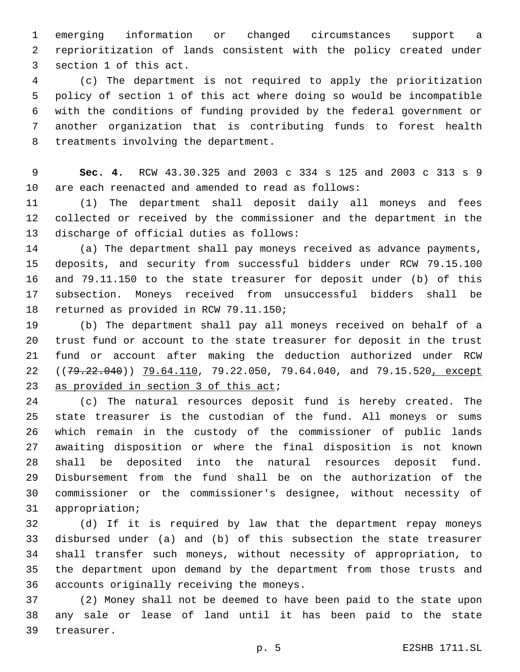emerging information or changed circumstances support a reprioritization of lands consistent with the policy created under 3 section 1 of this act.

 (c) The department is not required to apply the prioritization policy of section 1 of this act where doing so would be incompatible with the conditions of funding provided by the federal government or another organization that is contributing funds to forest health 8 treatments involving the department.

 **Sec. 4.** RCW 43.30.325 and 2003 c 334 s 125 and 2003 c 313 s 9 are each reenacted and amended to read as follows:

 (1) The department shall deposit daily all moneys and fees collected or received by the commissioner and the department in the 13 discharge of official duties as follows:

 (a) The department shall pay moneys received as advance payments, deposits, and security from successful bidders under RCW 79.15.100 and 79.11.150 to the state treasurer for deposit under (b) of this subsection. Moneys received from unsuccessful bidders shall be 18 returned as provided in RCW 79.11.150;

 (b) The department shall pay all moneys received on behalf of a trust fund or account to the state treasurer for deposit in the trust fund or account after making the deduction authorized under RCW 22 ((79.22.040)) 79.64.110, 79.22.050, 79.64.040, and 79.15.520, except 23 as provided in section of this act;

 (c) The natural resources deposit fund is hereby created. The state treasurer is the custodian of the fund. All moneys or sums which remain in the custody of the commissioner of public lands awaiting disposition or where the final disposition is not known shall be deposited into the natural resources deposit fund. Disbursement from the fund shall be on the authorization of the commissioner or the commissioner's designee, without necessity of 31 appropriation;

 (d) If it is required by law that the department repay moneys disbursed under (a) and (b) of this subsection the state treasurer shall transfer such moneys, without necessity of appropriation, to the department upon demand by the department from those trusts and 36 accounts originally receiving the moneys.

 (2) Money shall not be deemed to have been paid to the state upon any sale or lease of land until it has been paid to the state 39 treasurer.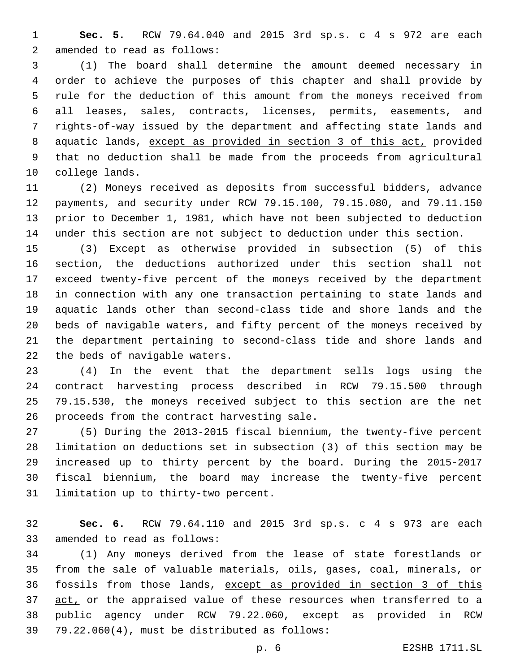**Sec. 5.** RCW 79.64.040 and 2015 3rd sp.s. c 4 s 972 are each 2 amended to read as follows:

 (1) The board shall determine the amount deemed necessary in order to achieve the purposes of this chapter and shall provide by rule for the deduction of this amount from the moneys received from all leases, sales, contracts, licenses, permits, easements, and rights-of-way issued by the department and affecting state lands and aquatic lands, except as provided in section 3 of this act, provided that no deduction shall be made from the proceeds from agricultural 10 college lands.

 (2) Moneys received as deposits from successful bidders, advance payments, and security under RCW 79.15.100, 79.15.080, and 79.11.150 prior to December 1, 1981, which have not been subjected to deduction under this section are not subject to deduction under this section.

 (3) Except as otherwise provided in subsection (5) of this section, the deductions authorized under this section shall not exceed twenty-five percent of the moneys received by the department in connection with any one transaction pertaining to state lands and aquatic lands other than second-class tide and shore lands and the beds of navigable waters, and fifty percent of the moneys received by the department pertaining to second-class tide and shore lands and 22 the beds of navigable waters.

 (4) In the event that the department sells logs using the contract harvesting process described in RCW 79.15.500 through 79.15.530, the moneys received subject to this section are the net 26 proceeds from the contract harvesting sale.

 (5) During the 2013-2015 fiscal biennium, the twenty-five percent limitation on deductions set in subsection (3) of this section may be increased up to thirty percent by the board. During the 2015-2017 fiscal biennium, the board may increase the twenty-five percent 31 limitation up to thirty-two percent.

 **Sec. 6.** RCW 79.64.110 and 2015 3rd sp.s. c 4 s 973 are each 33 amended to read as follows:

 (1) Any moneys derived from the lease of state forestlands or from the sale of valuable materials, oils, gases, coal, minerals, or fossils from those lands, except as provided in section 3 of this 37 act, or the appraised value of these resources when transferred to a public agency under RCW 79.22.060, except as provided in RCW  $79.22.060(4)$ , must be distributed as follows: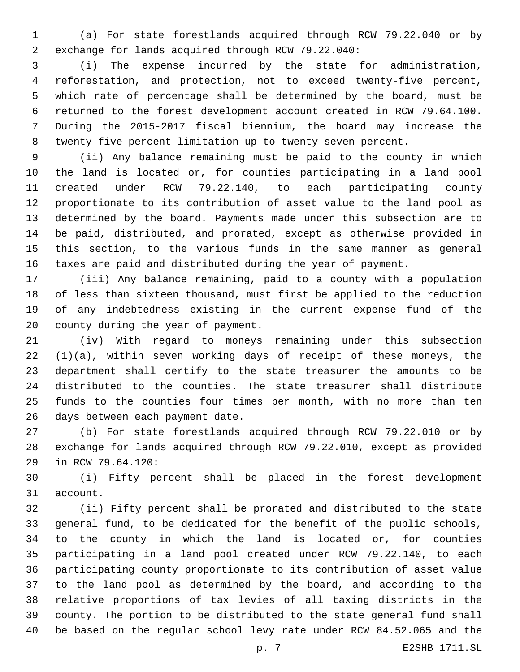(a) For state forestlands acquired through RCW 79.22.040 or by exchange for lands acquired through RCW 79.22.040:2

 (i) The expense incurred by the state for administration, reforestation, and protection, not to exceed twenty-five percent, which rate of percentage shall be determined by the board, must be returned to the forest development account created in RCW 79.64.100. During the 2015-2017 fiscal biennium, the board may increase the twenty-five percent limitation up to twenty-seven percent.

 (ii) Any balance remaining must be paid to the county in which the land is located or, for counties participating in a land pool created under RCW 79.22.140, to each participating county proportionate to its contribution of asset value to the land pool as determined by the board. Payments made under this subsection are to be paid, distributed, and prorated, except as otherwise provided in this section, to the various funds in the same manner as general taxes are paid and distributed during the year of payment.

 (iii) Any balance remaining, paid to a county with a population of less than sixteen thousand, must first be applied to the reduction of any indebtedness existing in the current expense fund of the 20 county during the year of payment.

 (iv) With regard to moneys remaining under this subsection  $(1)(a)$ , within seven working days of receipt of these moneys, the department shall certify to the state treasurer the amounts to be distributed to the counties. The state treasurer shall distribute funds to the counties four times per month, with no more than ten 26 days between each payment date.

 (b) For state forestlands acquired through RCW 79.22.010 or by exchange for lands acquired through RCW 79.22.010, except as provided 29 in RCW 79.64.120:

 (i) Fifty percent shall be placed in the forest development 31 account.

 (ii) Fifty percent shall be prorated and distributed to the state general fund, to be dedicated for the benefit of the public schools, to the county in which the land is located or, for counties participating in a land pool created under RCW 79.22.140, to each participating county proportionate to its contribution of asset value to the land pool as determined by the board, and according to the relative proportions of tax levies of all taxing districts in the county. The portion to be distributed to the state general fund shall be based on the regular school levy rate under RCW 84.52.065 and the

p. 7 E2SHB 1711.SL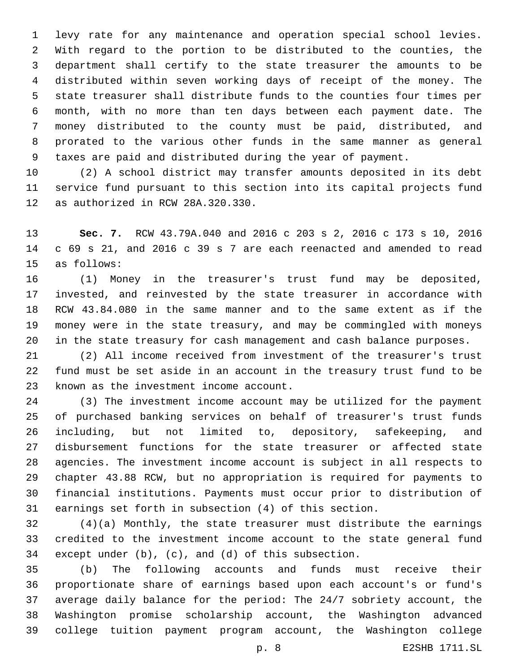levy rate for any maintenance and operation special school levies. With regard to the portion to be distributed to the counties, the department shall certify to the state treasurer the amounts to be distributed within seven working days of receipt of the money. The state treasurer shall distribute funds to the counties four times per month, with no more than ten days between each payment date. The money distributed to the county must be paid, distributed, and prorated to the various other funds in the same manner as general taxes are paid and distributed during the year of payment.

 (2) A school district may transfer amounts deposited in its debt service fund pursuant to this section into its capital projects fund 12 as authorized in RCW 28A.320.330.

 **Sec. 7.** RCW 43.79A.040 and 2016 c 203 s 2, 2016 c 173 s 10, 2016 c 69 s 21, and 2016 c 39 s 7 are each reenacted and amended to read 15 as follows:

 (1) Money in the treasurer's trust fund may be deposited, invested, and reinvested by the state treasurer in accordance with RCW 43.84.080 in the same manner and to the same extent as if the money were in the state treasury, and may be commingled with moneys in the state treasury for cash management and cash balance purposes.

 (2) All income received from investment of the treasurer's trust fund must be set aside in an account in the treasury trust fund to be 23 known as the investment income account.

 (3) The investment income account may be utilized for the payment of purchased banking services on behalf of treasurer's trust funds including, but not limited to, depository, safekeeping, and disbursement functions for the state treasurer or affected state agencies. The investment income account is subject in all respects to chapter 43.88 RCW, but no appropriation is required for payments to financial institutions. Payments must occur prior to distribution of earnings set forth in subsection (4) of this section.

 (4)(a) Monthly, the state treasurer must distribute the earnings credited to the investment income account to the state general fund except under (b), (c), and (d) of this subsection.

 (b) The following accounts and funds must receive their proportionate share of earnings based upon each account's or fund's average daily balance for the period: The 24/7 sobriety account, the Washington promise scholarship account, the Washington advanced college tuition payment program account, the Washington college

p. 8 E2SHB 1711.SL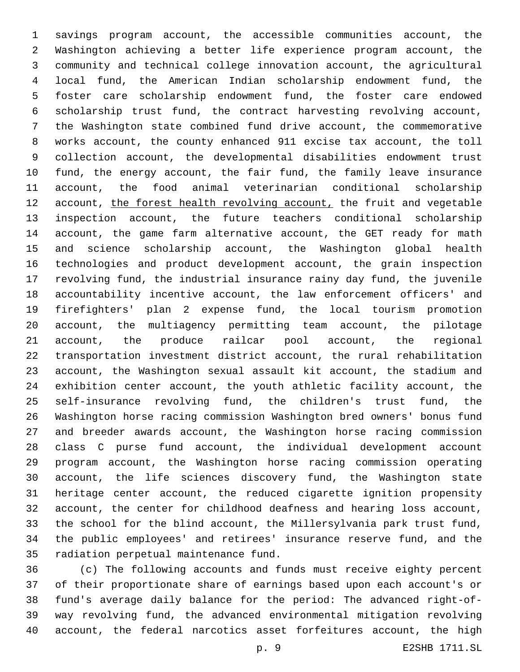savings program account, the accessible communities account, the Washington achieving a better life experience program account, the community and technical college innovation account, the agricultural local fund, the American Indian scholarship endowment fund, the foster care scholarship endowment fund, the foster care endowed scholarship trust fund, the contract harvesting revolving account, the Washington state combined fund drive account, the commemorative works account, the county enhanced 911 excise tax account, the toll collection account, the developmental disabilities endowment trust fund, the energy account, the fair fund, the family leave insurance account, the food animal veterinarian conditional scholarship 12 account, the forest health revolving account, the fruit and vegetable inspection account, the future teachers conditional scholarship account, the game farm alternative account, the GET ready for math and science scholarship account, the Washington global health technologies and product development account, the grain inspection revolving fund, the industrial insurance rainy day fund, the juvenile accountability incentive account, the law enforcement officers' and firefighters' plan 2 expense fund, the local tourism promotion account, the multiagency permitting team account, the pilotage account, the produce railcar pool account, the regional transportation investment district account, the rural rehabilitation account, the Washington sexual assault kit account, the stadium and exhibition center account, the youth athletic facility account, the self-insurance revolving fund, the children's trust fund, the Washington horse racing commission Washington bred owners' bonus fund and breeder awards account, the Washington horse racing commission class C purse fund account, the individual development account program account, the Washington horse racing commission operating account, the life sciences discovery fund, the Washington state heritage center account, the reduced cigarette ignition propensity account, the center for childhood deafness and hearing loss account, the school for the blind account, the Millersylvania park trust fund, the public employees' and retirees' insurance reserve fund, and the 35 radiation perpetual maintenance fund.

 (c) The following accounts and funds must receive eighty percent of their proportionate share of earnings based upon each account's or fund's average daily balance for the period: The advanced right-of- way revolving fund, the advanced environmental mitigation revolving account, the federal narcotics asset forfeitures account, the high